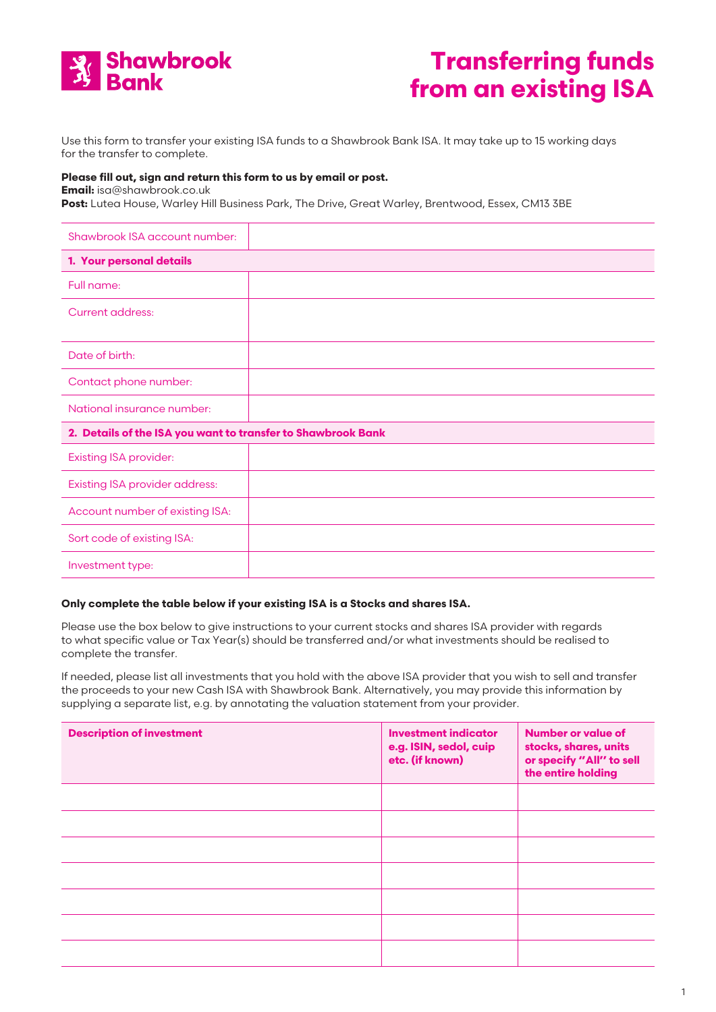

## **Transferring funds from an existing ISA**

Use this form to transfer your existing ISA funds to a Shawbrook Bank ISA. It may take up to 15 working days for the transfer to complete.

## **Please fill out, sign and return this form to us by email or post.**

**Email:** [isa@shawbrook.co.uk](mailto:isa@shawbrook.co.uk) 

Post: Lutea House, Warley Hill Business Park, The Drive, Great Warley, Brentwood, Essex, CM13 3BE

| Shawbrook ISA account number:                                |  |  |  |
|--------------------------------------------------------------|--|--|--|
| 1. Your personal details                                     |  |  |  |
| Full name:                                                   |  |  |  |
| <b>Current address:</b>                                      |  |  |  |
| Date of birth:                                               |  |  |  |
| Contact phone number:                                        |  |  |  |
| National insurance number:                                   |  |  |  |
| 2. Details of the ISA you want to transfer to Shawbrook Bank |  |  |  |
| <b>Existing ISA provider:</b>                                |  |  |  |
| <b>Existing ISA provider address:</b>                        |  |  |  |
| Account number of existing ISA:                              |  |  |  |
| Sort code of existing ISA:                                   |  |  |  |
| Investment type:                                             |  |  |  |

## **Only complete the table below if your existing ISA is a Stocks and shares ISA.**

Please use the box below to give instructions to your current stocks and shares ISA provider with regards to what specific value or Tax Year(s) should be transferred and/or what investments should be realised to complete the transfer.

If needed, please list all investments that you hold with the above ISA provider that you wish to sell and transfer the proceeds to your new Cash ISA with Shawbrook Bank. Alternatively, you may provide this information by supplying a separate list, e.g. by annotating the valuation statement from your provider.

| <b>Description of investment</b> | <b>Investment indicator</b><br>e.g. ISIN, sedol, cuip<br>etc. (if known) | <b>Number or value of</b><br>stocks, shares, units<br>or specify "All" to sell<br>the entire holding |
|----------------------------------|--------------------------------------------------------------------------|------------------------------------------------------------------------------------------------------|
|                                  |                                                                          |                                                                                                      |
|                                  |                                                                          |                                                                                                      |
|                                  |                                                                          |                                                                                                      |
|                                  |                                                                          |                                                                                                      |
|                                  |                                                                          |                                                                                                      |
|                                  |                                                                          |                                                                                                      |
|                                  |                                                                          |                                                                                                      |